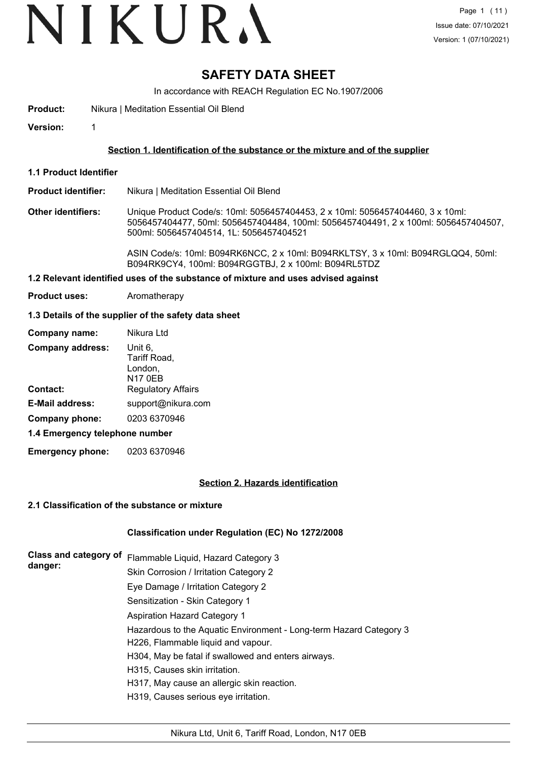# VIKURA

## **SAFETY DATA SHEET**

In accordance with REACH Regulation EC No.1907/2006

- **Product:** Nikura | Meditation Essential Oil Blend
- **Version:** 1

#### **Section 1. Identification of the substance or the mixture and of the supplier**

- **1.1 Product Identifier**
- **Product identifier:** Nikura | Meditation Essential Oil Blend
- **Other identifiers:** Unique Product Code/s: 10ml: 5056457404453, 2 x 10ml: 5056457404460, 3 x 10ml: 5056457404477, 50ml: 5056457404484, 100ml: 5056457404491, 2 x 100ml: 5056457404507, 500ml: 5056457404514, 1L: 5056457404521

ASIN Code/s: 10ml: B094RK6NCC, 2 x 10ml: B094RKLTSY, 3 x 10ml: B094RGLQQ4, 50ml: B094RK9CY4, 100ml: B094RGGTBJ, 2 x 100ml: B094RL5TDZ

#### **1.2 Relevant identified uses of the substance of mixture and uses advised against**

**Product uses:** Aromatherapy

#### **1.3 Details of the supplier of the safety data sheet**

| Company name:                  | Nikura Ltd                                           |
|--------------------------------|------------------------------------------------------|
| <b>Company address:</b>        | Unit 6,<br>Tariff Road,<br>London,<br><b>N17 0EB</b> |
| <b>Contact:</b>                | <b>Regulatory Affairs</b>                            |
| <b>E-Mail address:</b>         | support@nikura.com                                   |
| Company phone:                 | 0203 6370946                                         |
| 1.4 Emergency telephone number |                                                      |

**Emergency phone:** 0203 6370946

#### **Section 2. Hazards identification**

#### **2.1 Classification of the substance or mixture**

#### **Classification under Regulation (EC) No 1272/2008**

| Class and category of | Flammable Liquid, Hazard Category 3                                |
|-----------------------|--------------------------------------------------------------------|
| danger:               | Skin Corrosion / Irritation Category 2                             |
|                       | Eye Damage / Irritation Category 2                                 |
|                       | Sensitization - Skin Category 1                                    |
|                       | <b>Aspiration Hazard Category 1</b>                                |
|                       | Hazardous to the Aquatic Environment - Long-term Hazard Category 3 |
|                       | H226, Flammable liquid and vapour.                                 |
|                       | H304, May be fatal if swallowed and enters airways.                |
|                       | H315. Causes skin irritation.                                      |
|                       | H317, May cause an allergic skin reaction.                         |
|                       | H319, Causes serious eye irritation.                               |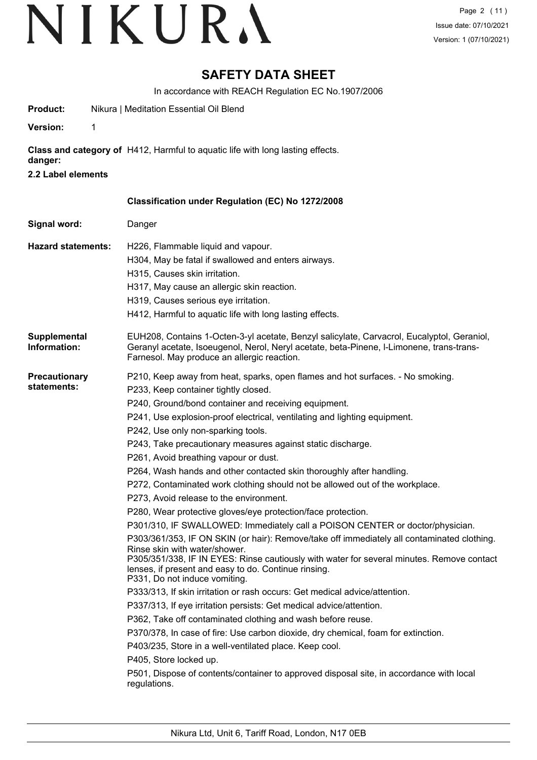**Product:** Nikura | Meditation Essential Oil Blend

## **SAFETY DATA SHEET**

In accordance with REACH Regulation EC No.1907/2006

| <b>Version:</b><br>1                |                                                                                                                                                                                                                                                                                                                                                                                                                                                                                                                                                                                                                                                                                                                                                                                                                                                                                                            |
|-------------------------------------|------------------------------------------------------------------------------------------------------------------------------------------------------------------------------------------------------------------------------------------------------------------------------------------------------------------------------------------------------------------------------------------------------------------------------------------------------------------------------------------------------------------------------------------------------------------------------------------------------------------------------------------------------------------------------------------------------------------------------------------------------------------------------------------------------------------------------------------------------------------------------------------------------------|
| danger:<br>2.2 Label elements       | Class and category of H412, Harmful to aquatic life with long lasting effects.                                                                                                                                                                                                                                                                                                                                                                                                                                                                                                                                                                                                                                                                                                                                                                                                                             |
|                                     | Classification under Regulation (EC) No 1272/2008                                                                                                                                                                                                                                                                                                                                                                                                                                                                                                                                                                                                                                                                                                                                                                                                                                                          |
| Signal word:                        | Danger                                                                                                                                                                                                                                                                                                                                                                                                                                                                                                                                                                                                                                                                                                                                                                                                                                                                                                     |
| <b>Hazard statements:</b>           | H226, Flammable liquid and vapour.<br>H304, May be fatal if swallowed and enters airways.<br>H315, Causes skin irritation.<br>H317, May cause an allergic skin reaction.<br>H319, Causes serious eye irritation.<br>H412, Harmful to aquatic life with long lasting effects.                                                                                                                                                                                                                                                                                                                                                                                                                                                                                                                                                                                                                               |
| Supplemental<br>Information:        | EUH208, Contains 1-Octen-3-yl acetate, Benzyl salicylate, Carvacrol, Eucalyptol, Geraniol,<br>Geranyl acetate, Isoeugenol, Nerol, Neryl acetate, beta-Pinene, I-Limonene, trans-trans-<br>Farnesol. May produce an allergic reaction.                                                                                                                                                                                                                                                                                                                                                                                                                                                                                                                                                                                                                                                                      |
| <b>Precautionary</b><br>statements: | P210, Keep away from heat, sparks, open flames and hot surfaces. - No smoking.<br>P233, Keep container tightly closed.<br>P240, Ground/bond container and receiving equipment.<br>P241, Use explosion-proof electrical, ventilating and lighting equipment.<br>P242, Use only non-sparking tools.<br>P243, Take precautionary measures against static discharge.<br>P261, Avoid breathing vapour or dust.<br>P264, Wash hands and other contacted skin thoroughly after handling.<br>P272, Contaminated work clothing should not be allowed out of the workplace.<br>P273, Avoid release to the environment.<br>P280, Wear protective gloves/eye protection/face protection.                                                                                                                                                                                                                               |
|                                     | P301/310, IF SWALLOWED: Immediately call a POISON CENTER or doctor/physician.<br>P303/361/353, IF ON SKIN (or hair): Remove/take off immediately all contaminated clothing.<br>Rinse skin with water/shower.<br>P305/351/338, IF IN EYES: Rinse cautiously with water for several minutes. Remove contact<br>lenses, if present and easy to do. Continue rinsing.<br>P331, Do not induce vomiting.<br>P333/313, If skin irritation or rash occurs: Get medical advice/attention.<br>P337/313, If eye irritation persists: Get medical advice/attention.<br>P362, Take off contaminated clothing and wash before reuse.<br>P370/378, In case of fire: Use carbon dioxide, dry chemical, foam for extinction.<br>P403/235, Store in a well-ventilated place. Keep cool.<br>P405, Store locked up.<br>P501, Dispose of contents/container to approved disposal site, in accordance with local<br>regulations. |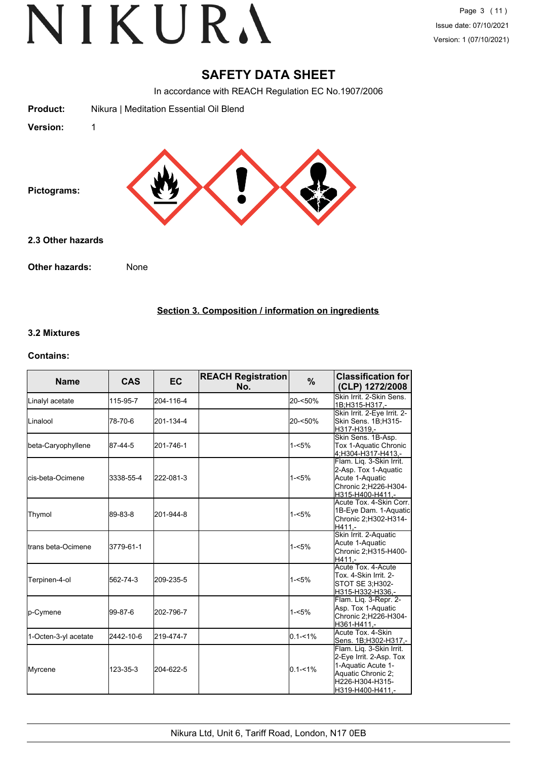### **SAFETY DATA SHEET**

In accordance with REACH Regulation EC No.1907/2006



#### **Section 3. Composition / information on ingredients**

#### **3.2 Mixtures**

#### **Contains:**

| <b>Name</b>                 | <b>CAS</b> | <b>EC</b> | <b>REACH Registration</b><br>No. | %           | <b>Classification for</b><br>(CLP) 1272/2008                                                                                           |
|-----------------------------|------------|-----------|----------------------------------|-------------|----------------------------------------------------------------------------------------------------------------------------------------|
| Linalyl acetate             | 115-95-7   | 204-116-4 |                                  | 20-<50%     | Skin Irrit, 2-Skin Sens.<br>1B;H315-H317,-                                                                                             |
| ILinalool                   | 78-70-6    | 201-134-4 |                                  | 20-<50%     | Skin Irrit. 2-Eye Irrit. 2-<br>Skin Sens. 1B;H315-<br>H317-H319.-                                                                      |
| beta-Caryophyllene          | 87-44-5    | 201-746-1 |                                  | 1-<5%       | Skin Sens. 1B-Asp.<br>Tox 1-Aquatic Chronic<br>4:H304-H317-H413.-                                                                      |
| <b>l</b> cis-beta-Ocimene   | 3338-55-4  | 222-081-3 |                                  | $1 - 5%$    | Flam. Liq. 3-Skin Irrit.<br>2-Asp. Tox 1-Aquatic<br>Acute 1-Aquatic<br>Chronic 2;H226-H304-<br>H315-H400-H411.-                        |
| Thymol                      | 89-83-8    | 201-944-8 |                                  | $1 - 5%$    | Acute Tox. 4-Skin Corr.<br>1B-Eye Dam. 1-Aquatic<br>Chronic 2:H302-H314-<br>H411,-                                                     |
| <b>I</b> trans beta-Ocimene | 3779-61-1  |           |                                  | 1-<5%       | Skin Irrit. 2-Aquatic<br>Acute 1-Aquatic<br>Chronic 2;H315-H400-<br>H411,-                                                             |
| Terpinen-4-ol               | 562-74-3   | 209-235-5 |                                  | $1 - 5%$    | Acute Tox. 4-Acute<br>Tox. 4-Skin Irrit. 2-<br>STOT SE 3:H302-<br>H315-H332-H336,-                                                     |
| p-Cymene                    | 99-87-6    | 202-796-7 |                                  | $1 - 5%$    | Flam. Liq. 3-Repr. 2-<br>Asp. Tox 1-Aquatic<br>Chronic 2;H226-H304-<br>H361-H411.-                                                     |
| 1-Octen-3-yl acetate        | 2442-10-6  | 219-474-7 |                                  | $0.1 - 1\%$ | Acute Tox, 4-Skin<br>Sens. 1B;H302-H317,-                                                                                              |
| Myrcene                     | 123-35-3   | 204-622-5 |                                  | $0.1 - 1\%$ | Flam. Lig. 3-Skin Irrit.<br>2-Eye Irrit. 2-Asp. Tox<br>1-Aquatic Acute 1-<br>Aquatic Chronic 2;<br>H226-H304-H315-<br>H319-H400-H411,- |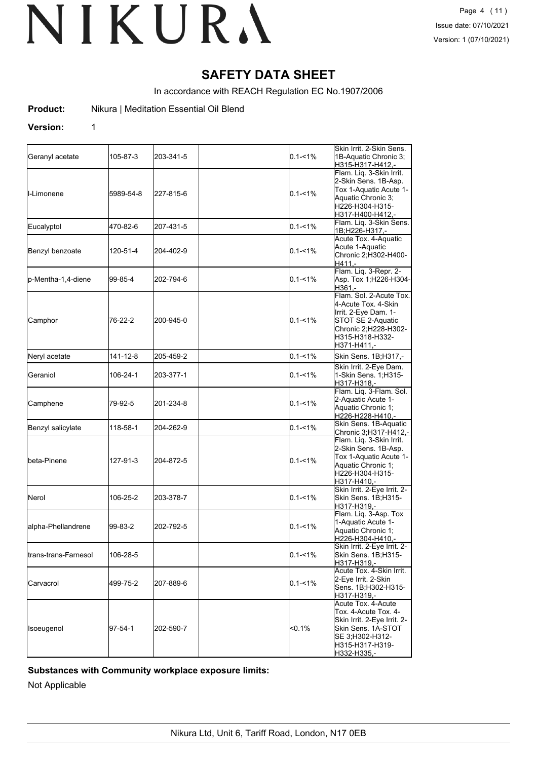## **SAFETY DATA SHEET**

In accordance with REACH Regulation EC No.1907/2006

**Product:** Nikura | Meditation Essential Oil Blend

#### **Version:** 1

| Geranyl acetate      | 105-87-3      | 203-341-5 | $0.1 - 1\%$ | Skin Irrit, 2-Skin Sens.<br>1B-Aquatic Chronic 3;<br>H315-H317-H412.-                                                                                 |  |
|----------------------|---------------|-----------|-------------|-------------------------------------------------------------------------------------------------------------------------------------------------------|--|
| II-Limonene          | 5989-54-8     | 227-815-6 | $0.1 - 1\%$ | Flam. Lig. 3-Skin Irrit.<br>2-Skin Sens. 1B-Asp.<br>Tox 1-Aquatic Acute 1-<br>Aquatic Chronic 3;<br>H226-H304-H315-<br>H317-H400-H412,-               |  |
| Eucalyptol           | 470-82-6      | 207-431-5 | $0.1 - 1\%$ | Flam. Liq. 3-Skin Sens.<br>1B;H226-H317,-                                                                                                             |  |
| Benzyl benzoate      | 120-51-4      | 204-402-9 | $0.1 - 1\%$ | Acute Tox. 4-Aquatic<br>Acute 1-Aquatic<br>Chronic 2;H302-H400-<br>H411,-                                                                             |  |
| lp-Mentha-1,4-diene  | 99-85-4       | 202-794-6 | 0.1-<1%     | Flam. Lig. 3-Repr. 2-<br>Asp. Tox 1; H226-H304-<br>H361,-                                                                                             |  |
| Camphor              | 76-22-2       | 200-945-0 | $0.1 - 1\%$ | Flam. Sol. 2-Acute Tox.<br>4-Acute Tox. 4-Skin<br>Irrit. 2-Eye Dam. 1-<br>STOT SE 2-Aquatic<br>Chronic 2;H228-H302-<br>H315-H318-H332-<br>H371-H411,- |  |
| Neryl acetate        | 141-12-8      | 205-459-2 | $0.1 - 1\%$ | Skin Sens. 1B;H317,-                                                                                                                                  |  |
| Geraniol             | 106-24-1      | 203-377-1 | $0.1 - 1\%$ | Skin Irrit. 2-Eye Dam.<br>1-Skin Sens. 1:H315-<br>H317-H318.-                                                                                         |  |
| Camphene             | 79-92-5       | 201-234-8 | $0.1 - 1\%$ | Flam. Liq. 3-Flam. Sol.<br>2-Aquatic Acute 1-<br>Aquatic Chronic 1;<br>H226-H228-H410,-                                                               |  |
| Benzyl salicylate    | 118-58-1      | 204-262-9 | $0.1 - 1\%$ | Skin Sens. 1B-Aquatic<br>Chronic 3;H317-H412,-                                                                                                        |  |
| <b>I</b> beta-Pinene | 127-91-3      | 204-872-5 | $0.1 - 1\%$ | Flam. Liq. 3-Skin Irrit.<br>2-Skin Sens. 1B-Asp.<br>Tox 1-Aquatic Acute 1-<br>Aquatic Chronic 1;<br>H226-H304-H315-<br>H317-H410,-                    |  |
| <b>N</b> erol        | 106-25-2      | 203-378-7 | $0.1 - 1\%$ | Skin Irrit. 2-Eye Irrit. 2-<br>Skin Sens. 1B;H315-<br>H317-H319,-                                                                                     |  |
| alpha-Phellandrene   | 99-83-2       | 202-792-5 | 0.1-<1%     | Flam. Liq. 3-Asp. Tox<br>1-Aquatic Acute 1-<br>Aquatic Chronic 1;<br>H226-H304-H410,-                                                                 |  |
| trans-trans-Farnesol | 106-28-5      |           | $0.1 - 1\%$ | Skin Irrit. 2-Eye Irrit. 2-<br>Skin Sens. 1B;H315-<br>H317-H319.-                                                                                     |  |
| Carvacrol            | 499-75-2      | 207-889-6 | $0.1 - 1\%$ | Acute Tox. 4-Skin Irrit.<br>2-Eye Irrit. 2-Skin<br>Sens. 1B;H302-H315-<br>H317-H319,-                                                                 |  |
| Isoeugenol           | $97 - 54 - 1$ | 202-590-7 | <0.1%       | Acute Tox, 4-Acute<br>Tox. 4-Acute Tox. 4-<br>Skin Irrit. 2-Eye Irrit. 2-<br>Skin Sens. 1A-STOT<br>SE 3;H302-H312-<br>H315-H317-H319-<br>H332-H335,-  |  |

#### **Substances with Community workplace exposure limits:**

Not Applicable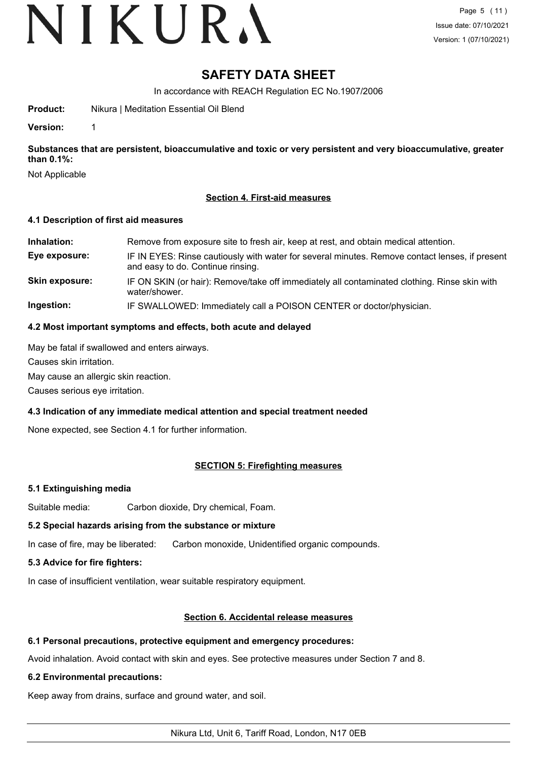# VIKURA

## **SAFETY DATA SHEET**

In accordance with REACH Regulation EC No.1907/2006

**Product:** Nikura | Meditation Essential Oil Blend

**Version:** 1

**Substances that are persistent, bioaccumulative and toxic or very persistent and very bioaccumulative, greater than 0.1%:**

Not Applicable

#### **Section 4. First-aid measures**

#### **4.1 Description of first aid measures**

**Inhalation:** Remove from exposure site to fresh air, keep at rest, and obtain medical attention. **Eye exposure:** IF IN EYES: Rinse cautiously with water for several minutes. Remove contact lenses, if present and easy to do. Continue rinsing. **Skin exposure:** IF ON SKIN (or hair): Remove/take off immediately all contaminated clothing. Rinse skin with water/shower. **Ingestion:** IF SWALLOWED: Immediately call a POISON CENTER or doctor/physician.

#### **4.2 Most important symptoms and effects, both acute and delayed**

May be fatal if swallowed and enters airways.

Causes skin irritation.

May cause an allergic skin reaction.

Causes serious eye irritation.

### **4.3 Indication of any immediate medical attention and special treatment needed**

None expected, see Section 4.1 for further information.

### **SECTION 5: Firefighting measures**

#### **5.1 Extinguishing media**

Suitable media: Carbon dioxide, Dry chemical, Foam.

#### **5.2 Special hazards arising from the substance or mixture**

In case of fire, may be liberated: Carbon monoxide, Unidentified organic compounds.

### **5.3 Advice for fire fighters:**

In case of insufficient ventilation, wear suitable respiratory equipment.

#### **Section 6. Accidental release measures**

### **6.1 Personal precautions, protective equipment and emergency procedures:**

Avoid inhalation. Avoid contact with skin and eyes. See protective measures under Section 7 and 8.

### **6.2 Environmental precautions:**

Keep away from drains, surface and ground water, and soil.

Nikura Ltd, Unit 6, Tariff Road, London, N17 0EB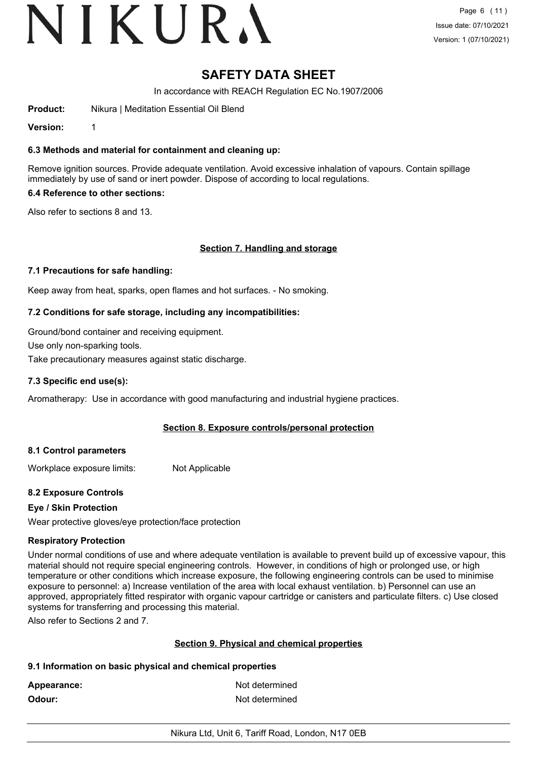# VIKURA

## **SAFETY DATA SHEET**

In accordance with REACH Regulation EC No.1907/2006

**Product:** Nikura | Meditation Essential Oil Blend

**Version:** 1

#### **6.3 Methods and material for containment and cleaning up:**

Remove ignition sources. Provide adequate ventilation. Avoid excessive inhalation of vapours. Contain spillage immediately by use of sand or inert powder. Dispose of according to local regulations.

#### **6.4 Reference to other sections:**

Also refer to sections 8 and 13.

#### **Section 7. Handling and storage**

#### **7.1 Precautions for safe handling:**

Keep away from heat, sparks, open flames and hot surfaces. - No smoking.

#### **7.2 Conditions for safe storage, including any incompatibilities:**

Ground/bond container and receiving equipment.

Use only non-sparking tools.

Take precautionary measures against static discharge.

#### **7.3 Specific end use(s):**

Aromatherapy: Use in accordance with good manufacturing and industrial hygiene practices.

#### **Section 8. Exposure controls/personal protection**

#### **8.1 Control parameters**

Workplace exposure limits: Not Applicable

#### **8.2 Exposure Controls**

#### **Eye / Skin Protection**

Wear protective gloves/eye protection/face protection

#### **Respiratory Protection**

Under normal conditions of use and where adequate ventilation is available to prevent build up of excessive vapour, this material should not require special engineering controls. However, in conditions of high or prolonged use, or high temperature or other conditions which increase exposure, the following engineering controls can be used to minimise exposure to personnel: a) Increase ventilation of the area with local exhaust ventilation. b) Personnel can use an approved, appropriately fitted respirator with organic vapour cartridge or canisters and particulate filters. c) Use closed systems for transferring and processing this material.

Also refer to Sections 2 and 7.

#### **Section 9. Physical and chemical properties**

#### **9.1 Information on basic physical and chemical properties**

Appearance: Not determined **Odour:** Not determined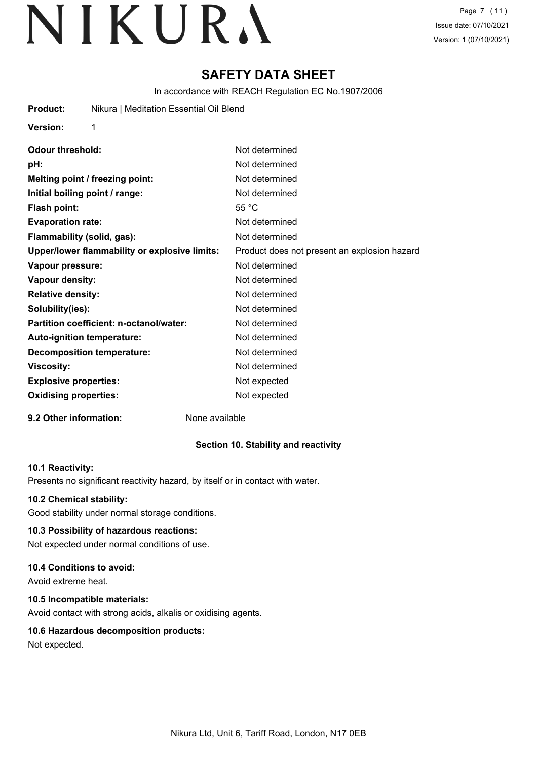Page 7 (11) Issue date: 07/10/2021 Version: 1 (07/10/2021)

## **SAFETY DATA SHEET**

In accordance with REACH Regulation EC No.1907/2006

| Product: | Nikura   Meditation Essential Oil Blend |  |  |
|----------|-----------------------------------------|--|--|
|----------|-----------------------------------------|--|--|

**Version:** 1

| <b>Odour threshold:</b>                       | Not determined                               |
|-----------------------------------------------|----------------------------------------------|
|                                               |                                              |
| pH:                                           | Not determined                               |
| Melting point / freezing point:               | Not determined                               |
| Initial boiling point / range:                | Not determined                               |
| <b>Flash point:</b>                           | 55 °C                                        |
| <b>Evaporation rate:</b>                      | Not determined                               |
| Flammability (solid, gas):                    | Not determined                               |
| Upper/lower flammability or explosive limits: | Product does not present an explosion hazard |
| Vapour pressure:                              | Not determined                               |
| <b>Vapour density:</b>                        | Not determined                               |
| <b>Relative density:</b>                      | Not determined                               |
| Solubility(ies):                              | Not determined                               |
| Partition coefficient: n-octanol/water:       | Not determined                               |
| <b>Auto-ignition temperature:</b>             | Not determined                               |
| <b>Decomposition temperature:</b>             | Not determined                               |
| <b>Viscosity:</b>                             | Not determined                               |
| <b>Explosive properties:</b>                  | Not expected                                 |
| <b>Oxidising properties:</b>                  | Not expected                                 |
|                                               |                                              |

**9.2 Other information:** None available

### **Section 10. Stability and reactivity**

#### **10.1 Reactivity:**

Presents no significant reactivity hazard, by itself or in contact with water.

#### **10.2 Chemical stability:**

Good stability under normal storage conditions.

#### **10.3 Possibility of hazardous reactions:**

Not expected under normal conditions of use.

#### **10.4 Conditions to avoid:**

Avoid extreme heat.

### **10.5 Incompatible materials:**

Avoid contact with strong acids, alkalis or oxidising agents.

#### **10.6 Hazardous decomposition products:**

Not expected.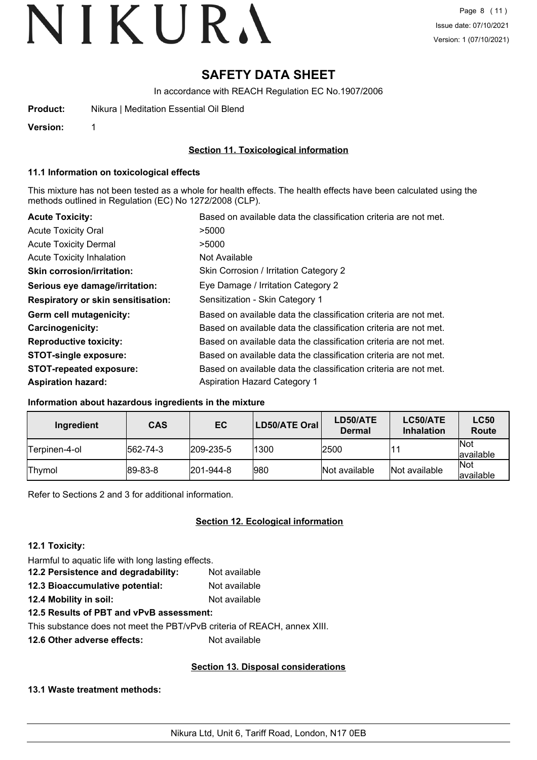## **SAFETY DATA SHEET**

In accordance with REACH Regulation EC No.1907/2006

| Product: | Nikura   Meditation Essential Oil Blend |  |
|----------|-----------------------------------------|--|
|          |                                         |  |

**Version:** 1

#### **Section 11. Toxicological information**

#### **11.1 Information on toxicological effects**

This mixture has not been tested as a whole for health effects. The health effects have been calculated using the methods outlined in Regulation (EC) No 1272/2008 (CLP).

| <b>Acute Toxicity:</b>                    | Based on available data the classification criteria are not met. |
|-------------------------------------------|------------------------------------------------------------------|
| <b>Acute Toxicity Oral</b>                | >5000                                                            |
| <b>Acute Toxicity Dermal</b>              | >5000                                                            |
| <b>Acute Toxicity Inhalation</b>          | Not Available                                                    |
| <b>Skin corrosion/irritation:</b>         | Skin Corrosion / Irritation Category 2                           |
| Serious eye damage/irritation:            | Eye Damage / Irritation Category 2                               |
| <b>Respiratory or skin sensitisation:</b> | Sensitization - Skin Category 1                                  |
| Germ cell mutagenicity:                   | Based on available data the classification criteria are not met. |
| <b>Carcinogenicity:</b>                   | Based on available data the classification criteria are not met. |
| <b>Reproductive toxicity:</b>             | Based on available data the classification criteria are not met. |
| <b>STOT-single exposure:</b>              | Based on available data the classification criteria are not met. |
| <b>STOT-repeated exposure:</b>            | Based on available data the classification criteria are not met. |
| <b>Aspiration hazard:</b>                 | <b>Aspiration Hazard Category 1</b>                              |

#### **Information about hazardous ingredients in the mixture**

| Ingredient     | <b>CAS</b> | EC.               | LD50/ATE Oral | LD50/ATE<br><b>Dermal</b> | LC50/ATE<br><b>Inhalation</b> | <b>LC50</b><br>Route     |
|----------------|------------|-------------------|---------------|---------------------------|-------------------------------|--------------------------|
| lTerpinen-4-ol | 562-74-3   | $ 209 - 235 - 5 $ | 1300          | 2500                      |                               | <b>Not</b><br>available  |
| <b>Thymol</b>  | 89-83-8    | $ 201 - 944 - 8 $ | 980           | Not available             | Not available                 | <b>Not</b><br>lavailable |

Refer to Sections 2 and 3 for additional information.

### **Section 12. Ecological information**

#### **12.1 Toxicity:**

Harmful to aquatic life with long lasting effects.

- **12.2 Persistence and degradability:** Not available **12.3 Bioaccumulative potential:** Not available
- **12.4 Mobility in soil:** Not available

#### **12.5 Results of PBT and vPvB assessment:**

This substance does not meet the PBT/vPvB criteria of REACH, annex XIII.

**12.6 Other adverse effects:** Not available

#### **Section 13. Disposal considerations**

#### **13.1 Waste treatment methods:**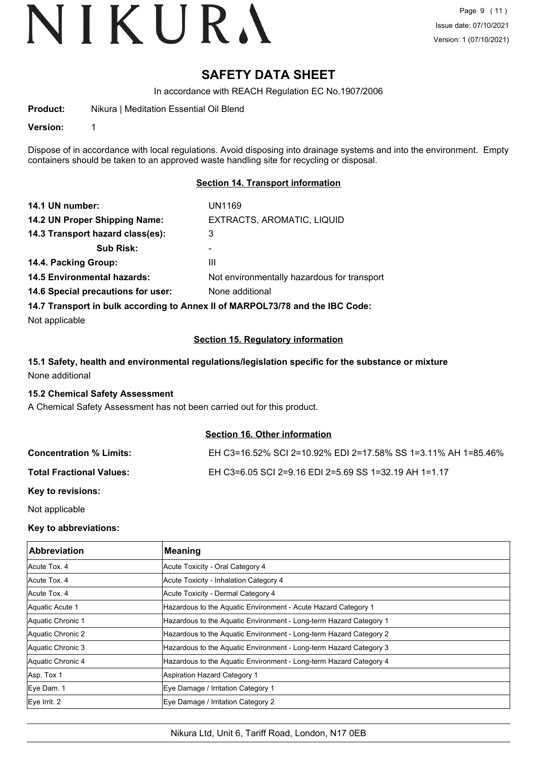## **SAFETY DATA SHEET**

In accordance with REACH Regulation EC No.1907/2006

**Product:** Nikura | Meditation Essential Oil Blend

**Version:** 1

Dispose of in accordance with local regulations. Avoid disposing into drainage systems and into the environment. Empty containers should be taken to an approved waste handling site for recycling or disposal.

#### **Section 14. Transport information**

| 14.1 UN number:                                                               | UN1169                                      |
|-------------------------------------------------------------------------------|---------------------------------------------|
| 14.2 UN Proper Shipping Name:                                                 | EXTRACTS, AROMATIC, LIQUID                  |
| 14.3 Transport hazard class(es):                                              | 3                                           |
| <b>Sub Risk:</b>                                                              |                                             |
| 14.4. Packing Group:                                                          | Ш                                           |
| <b>14.5 Environmental hazards:</b>                                            | Not environmentally hazardous for transport |
| 14.6 Special precautions for user:                                            | None additional                             |
| 14.7 Transport in bulk according to Annex II of MARPOL73/78 and the IBC Code: |                                             |

Not applicable

#### **Section 15. Regulatory information**

### **15.1 Safety, health and environmental regulations/legislation specific for the substance or mixture** None additional

#### **15.2 Chemical Safety Assessment**

A Chemical Safety Assessment has not been carried out for this product.

#### **Section 16. Other information**

| <b>Concentration % Limits:</b>  | EH C3=16.52% SCI 2=10.92% EDI 2=17.58% SS 1=3.11% AH 1=85.46% |
|---------------------------------|---------------------------------------------------------------|
| <b>Total Fractional Values:</b> | EH C3=6.05 SCI 2=9.16 EDI 2=5.69 SS 1=32.19 AH 1=1.17         |
|                                 |                                                               |

**Key to revisions:**

Not applicable

#### **Key to abbreviations:**

| <b>Abbreviation</b> | <b>Meaning</b>                                                     |
|---------------------|--------------------------------------------------------------------|
| Acute Tox, 4        | Acute Toxicity - Oral Category 4                                   |
| Acute Tox, 4        | Acute Toxicity - Inhalation Category 4                             |
| Acute Tox. 4        | Acute Toxicity - Dermal Category 4                                 |
| Aquatic Acute 1     | Hazardous to the Aquatic Environment - Acute Hazard Category 1     |
| Aquatic Chronic 1   | Hazardous to the Aquatic Environment - Long-term Hazard Category 1 |
| Aquatic Chronic 2   | Hazardous to the Aquatic Environment - Long-term Hazard Category 2 |
| Aquatic Chronic 3   | Hazardous to the Aquatic Environment - Long-term Hazard Category 3 |
| Aquatic Chronic 4   | Hazardous to the Aquatic Environment - Long-term Hazard Category 4 |
| Asp. Tox 1          | Aspiration Hazard Category 1                                       |
| Eye Dam. 1          | Eye Damage / Irritation Category 1                                 |
| Eye Irrit. 2        | Eye Damage / Irritation Category 2                                 |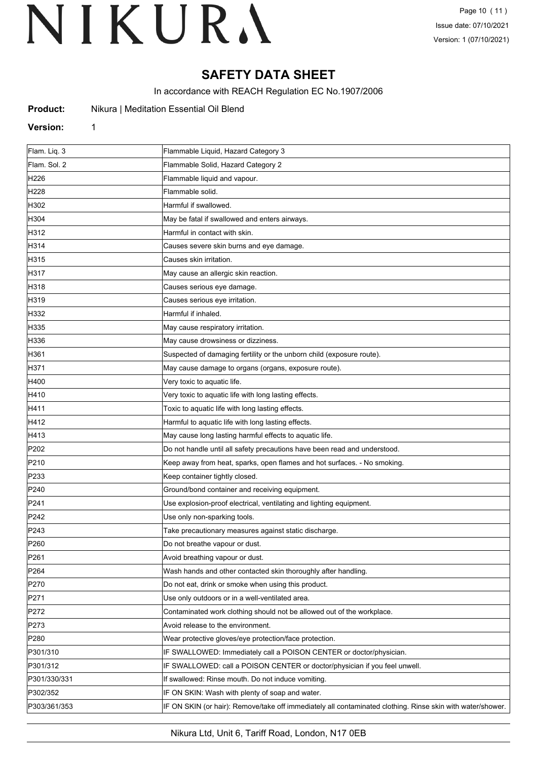## **SAFETY DATA SHEET**

In accordance with REACH Regulation EC No.1907/2006

| Nikura   Meditation Essential Oil Blend |
|-----------------------------------------|
|                                         |

#### **Version:** 1

| Flam. Liq. 3     | Flammable Liquid, Hazard Category 3                                                                        |
|------------------|------------------------------------------------------------------------------------------------------------|
| Flam, Sol. 2     | Flammable Solid, Hazard Category 2                                                                         |
| H226             | Flammable liquid and vapour.                                                                               |
| H228             | Flammable solid.                                                                                           |
| H302             | Harmful if swallowed.                                                                                      |
| H304             | May be fatal if swallowed and enters airways.                                                              |
| H312             | Harmful in contact with skin.                                                                              |
| H314             | Causes severe skin burns and eye damage.                                                                   |
| H315             | Causes skin irritation.                                                                                    |
| H317             | May cause an allergic skin reaction.                                                                       |
| H318             | Causes serious eye damage.                                                                                 |
| H319             | Causes serious eye irritation.                                                                             |
| H332             | Harmful if inhaled.                                                                                        |
| H335             | May cause respiratory irritation.                                                                          |
| H336             | May cause drowsiness or dizziness.                                                                         |
| H361             | Suspected of damaging fertility or the unborn child (exposure route).                                      |
| H371             | May cause damage to organs (organs, exposure route).                                                       |
| H400             | Very toxic to aquatic life.                                                                                |
| H410             | Very toxic to aquatic life with long lasting effects.                                                      |
| H411             | Toxic to aquatic life with long lasting effects.                                                           |
| H412             | Harmful to aquatic life with long lasting effects.                                                         |
| H413             | May cause long lasting harmful effects to aquatic life.                                                    |
| P202             | Do not handle until all safety precautions have been read and understood.                                  |
| P210             | Keep away from heat, sparks, open flames and hot surfaces. - No smoking.                                   |
| P233             | Keep container tightly closed.                                                                             |
| P240             | Ground/bond container and receiving equipment.                                                             |
| P241             | Use explosion-proof electrical, ventilating and lighting equipment.                                        |
| P242             | Use only non-sparking tools.                                                                               |
| P243             | Take precautionary measures against static discharge.                                                      |
| P <sub>260</sub> | Do not breathe vapour or dust.                                                                             |
| P261             | Avoid breathing vapour or dust.                                                                            |
| P264             | Wash hands and other contacted skin thoroughly after handling.                                             |
| P270             | Do not eat, drink or smoke when using this product.                                                        |
| P271             | Use only outdoors or in a well-ventilated area.                                                            |
| P272             | Contaminated work clothing should not be allowed out of the workplace.                                     |
| P273             | Avoid release to the environment.                                                                          |
| P280             | Wear protective gloves/eye protection/face protection.                                                     |
| P301/310         | IF SWALLOWED: Immediately call a POISON CENTER or doctor/physician.                                        |
| P301/312         | IF SWALLOWED: call a POISON CENTER or doctor/physician if you feel unwell.                                 |
| P301/330/331     | If swallowed: Rinse mouth. Do not induce vomiting.                                                         |
| P302/352         | IF ON SKIN: Wash with plenty of soap and water.                                                            |
| P303/361/353     | IF ON SKIN (or hair): Remove/take off immediately all contaminated clothing. Rinse skin with water/shower. |
|                  |                                                                                                            |

Nikura Ltd, Unit 6, Tariff Road, London, N17 0EB